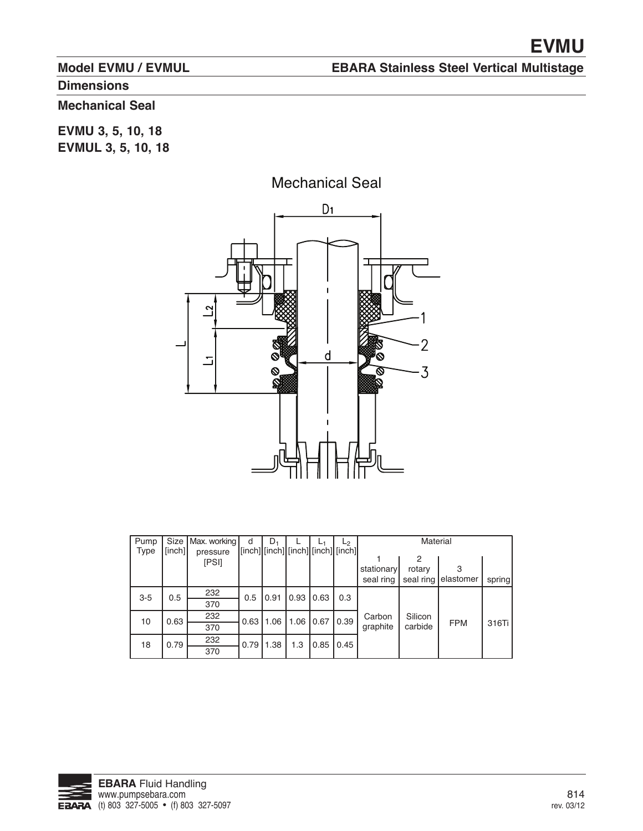## **Model EVMU / EVMUL**

## **EBARA Stainless Steel Vertical Multistage**

# **Dimensions**

# **Mechanical Seal**

**EVMU 3, 5, 10, 18 EVMUL 3, 5, 10, 18**



| Pump        |        | Size   Max. working | d    | $D_1$ |                                    |      | L2   | Material                |                          |                |        |
|-------------|--------|---------------------|------|-------|------------------------------------|------|------|-------------------------|--------------------------|----------------|--------|
| <b>Type</b> | [inch] | pressure<br>[PSI]   |      |       | [inch] [inch] [inch] [inch] [inch] |      |      | stationary<br>seal ring | 2<br>rotary<br>seal ring | 3<br>elastomer | spring |
| $3-5$       | 0.5    | 232                 | 0.5  | 0.91  | $0.93$ 0.63                        |      | 0.3  |                         |                          |                |        |
|             |        | 370                 |      |       |                                    |      |      |                         |                          |                |        |
| 10          | 0.63   | 232                 | 0.63 | 1.06  | 1.06                               | 0.67 | 0.39 | Carbon                  | Silicon                  |                |        |
|             |        | 370                 |      |       |                                    |      |      | graphite                | carbide                  | <b>FPM</b>     | 316Ti  |
| 18          | 0.79   | 232                 | 0.79 | 1.38  | 1.3                                | 0.85 | 0.45 |                         |                          |                |        |
|             |        | 370                 |      |       |                                    |      |      |                         |                          |                |        |

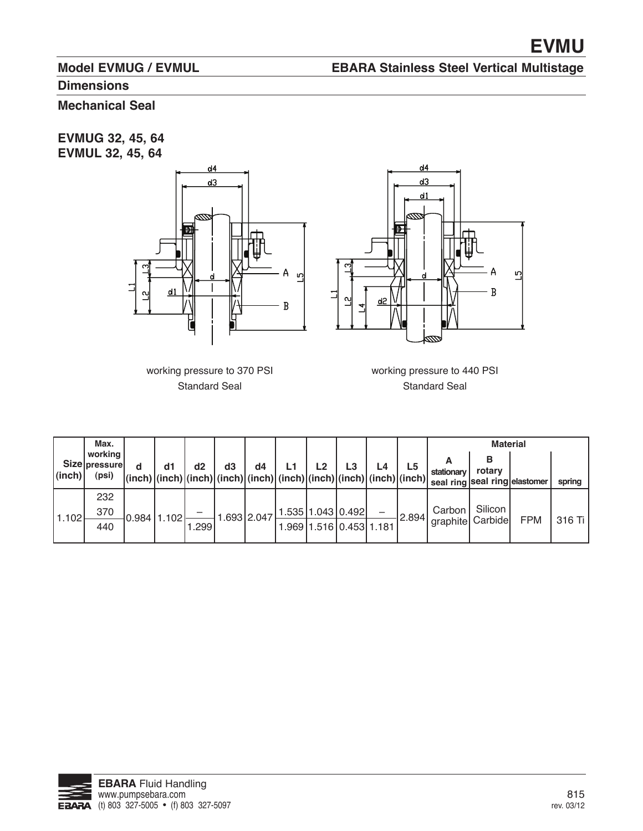## **Model EVMUG / EVMUL**

# **EBARA Stainless Steel Vertical Multistage**

## **Dimensions**

# **Mechanical Seal**

**EVMUG 32, 45, 64 EVMUL 32, 45, 64**





working pressure to 370 PSI Standard Seal

working pressure to 440 PSI Standard Seal

|            | Max.                                      |             |       |                                                                                                                                                             |             |                                 |    |    |                         |       |                               | <b>Material</b>                         |            |        |
|------------|-------------------------------------------|-------------|-------|-------------------------------------------------------------------------------------------------------------------------------------------------------------|-------------|---------------------------------|----|----|-------------------------|-------|-------------------------------|-----------------------------------------|------------|--------|
| $ $ (inch) | working<br><b>Size pressurel</b><br>(psi) | d1          | d2    | d3<br>$\vert$ (inch) $\vert$ (inch) $\vert$ (inch) $\vert$ (inch) $\vert$ (inch) $\vert$ (inch) $\vert$ (inch) $\vert$ (inch) $\vert$ (inch) $\vert$ (inch) | d4          |                                 | L2 | L3 | L4                      | L5    | stationary                    | rotary<br>seal ring seal ring elastomer |            | spring |
| 11.102     | 232<br>370                                | 0.984 1.102 |       |                                                                                                                                                             | 1.693 2.047 | $1.535 \,   1.043 \,   0.492  $ |    |    |                         | 2.894 | Carbon                        | Silicon                                 |            |        |
|            | 440                                       |             | 1.299 |                                                                                                                                                             |             |                                 |    |    | 1.969 1.516 0.453 1.181 |       | <sup>1</sup> graphite Carbide |                                         | <b>FPM</b> | 316 Ti |

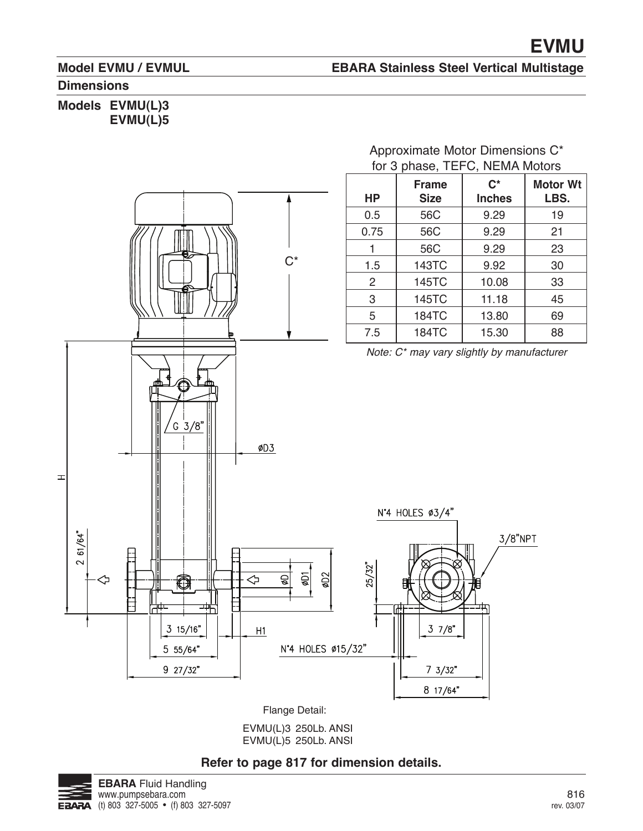### **Model EVMU / EVMUL**

#### **EBARA Stainless Steel Vertical Multistage**

#### **Dimensions**

### **Models EVMU(L)3 EVMU(L)5**



Approximate Motor Dimensions C\* for 3 phase, TEFC, NEMA Motors

Flange Detail:

EVMU(L)3 250Lb. ANSI EVMU(L)5 250Lb. ANSI

### \* **Refer to page 817 for dimension details.**

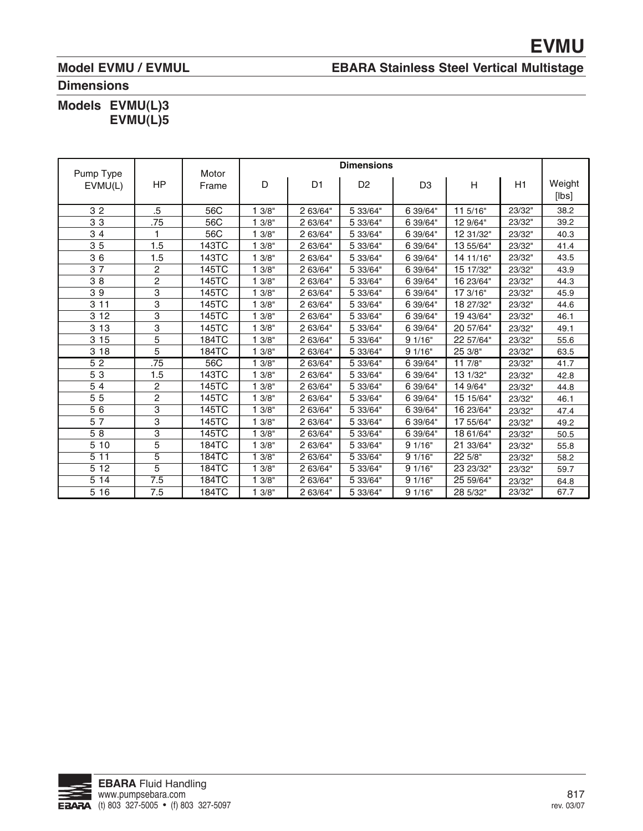## **Model EVMU / EVMUL**

## **EBARA Stainless Steel Vertical Multistage**

### **Dimensions**

| <b>Models</b> | EVMU(L)3 |
|---------------|----------|
|               | EVMU(L)5 |

| Pump Type       |                         | Motor        |       |                | <b>Dimensions</b> |                |           |        |                 |
|-----------------|-------------------------|--------------|-------|----------------|-------------------|----------------|-----------|--------|-----------------|
| EVMU(L)         | <b>HP</b>               | Frame        | D     | D <sub>1</sub> | D <sub>2</sub>    | D <sub>3</sub> | H         | H1     | Weight<br>[lbs] |
| 32              | .5                      | 56C          | 13/8" | 2 63/64"       | 5 33/64"          | 6 39/64"       | 11 5/16"  | 23/32" | 38.2            |
| 33              | .75                     | 56C          | 3/8"  | 2 63/64"       | 5 33/64"          | 6 39/64"       | 12 9/64"  | 23/32" | 39.2            |
| 34              |                         | 56C          | 3/8"  | 2 63/64"       | 5 33/64"          | 6 39/64"       | 12 31/32" | 23/32" | 40.3            |
| 35              | 1.5                     | 143TC        | 3/8"  | 2 63/64"       | 5 33/64"          | 6 39/64"       | 13 55/64" | 23/32" | 41.4            |
| 36              | 1.5                     | 143TC        | 3/8"  | 2 63/64"       | 5 33/64"          | 6 39/64"       | 14 11/16" | 23/32" | 43.5            |
| 37              | 2                       | 145TC        | 13/8" | 2 63/64"       | 5 33/64"          | 6 39/64"       | 15 17/32" | 23/32" | 43.9            |
| 38              | 2                       | 145TC        | 3/8"  | 2 63/64"       | 5 33/64"          | 6 39/64"       | 16 23/64" | 23/32" | 44.3            |
| 39              | $\overline{3}$          | 145TC        | 3/8"  | 2 63/64"       | 5 33/64"          | 6 39/64"       | 17 3/16"  | 23/32" | 45.9            |
| 311             | 3                       | 145TC        | 3/8"  | 2 63/64"       | 5 33/64"          | 6 39/64"       | 18 27/32" | 23/32" | 44.6            |
| 3 1 2           | 3                       | 145TC        | 3/8"  | 2 63/64"       | 5 33/64"          | 6 39/64"       | 19 43/64" | 23/32" | 46.1            |
| 3 1 3           | 3                       | 145TC        | 3/8"  | 2 63/64"       | 5 33/64"          | 6 39/64"       | 20 57/64" | 23/32" | 49.1            |
| 3 15            | 5                       | 184TC        | 3/8"  | 2 63/64"       | 5 33/64"          | 91/16"         | 22 57/64" | 23/32" | 55.6            |
| 3 18            | 5                       | 184TC        | 13/8" | 2 63/64"       | 5 33/64"          | 91/16"         | 25 3/8"   | 23/32" | 63.5            |
| 52              | .75                     | 56C          | 3/8"  | 2 63/64"       | 5 33/64"          | 6 39/64"       | 117/8"    | 23/32" | 41.7            |
| 53              | 1.5                     | 143TC        | 3/8"  | 2 63/64"       | 5 33/64"          | 6 39/64"       | 13 1/32"  | 23/32" | 42.8            |
| $\overline{54}$ | $\overline{c}$          | 145TC        | 3/8"  | 2 63/64"       | 5 33/64"          | 6 39/64"       | 14 9/64"  | 23/32" | 44.8            |
| 55              | $\overline{c}$          | 145TC        | 3/8"  | 2 63/64"       | 5 33/64"          | 6 39/64"       | 15 15/64" | 23/32" | 46.1            |
| 56              | $\overline{\mathbf{3}}$ | 145TC        | 3/8"  | 2 63/64"       | 5 33/64"          | 6 39/64"       | 16 23/64" | 23/32" | 47.4            |
| 57              | 3                       | 145TC        | 13/8" | 2 63/64"       | 5 33/64"          | 6 39/64"       | 17 55/64" | 23/32" | 49.2            |
| 58              | 3                       | 145TC        | 3/8"  | 2 63/64"       | 5 33/64"          | 6 39/64"       | 18 61/64" | 23/32" | 50.5            |
| 5 10            | 5                       | 184TC        | 13/8" | 2 63/64"       | 5 33/64"          | 91/16"         | 21 33/64" | 23/32" | 55.8            |
| 511             | $\overline{5}$          | 184TC        | 3/8"  | 2 63/64"       | 5 33/64"          | 91/16"         | 22.5/8"   | 23/32" | 58.2            |
| 5 1 2           | 5                       | 184TC        | 13/8" | 2 63/64"       | 5 33/64"          | 91/16"         | 23 23/32" | 23/32" | 59.7            |
| 5 14            | 7.5                     | <b>184TC</b> | 3/8"  | 2 63/64"       | 5 33/64"          | 91/16"         | 25 59/64" | 23/32" | 64.8            |
| 5 16            | 7.5                     | 184TC        | 13/8" | 2 63/64"       | 5 33/64"          | 91/16"         | 28 5/32"  | 23/32" | 67.7            |

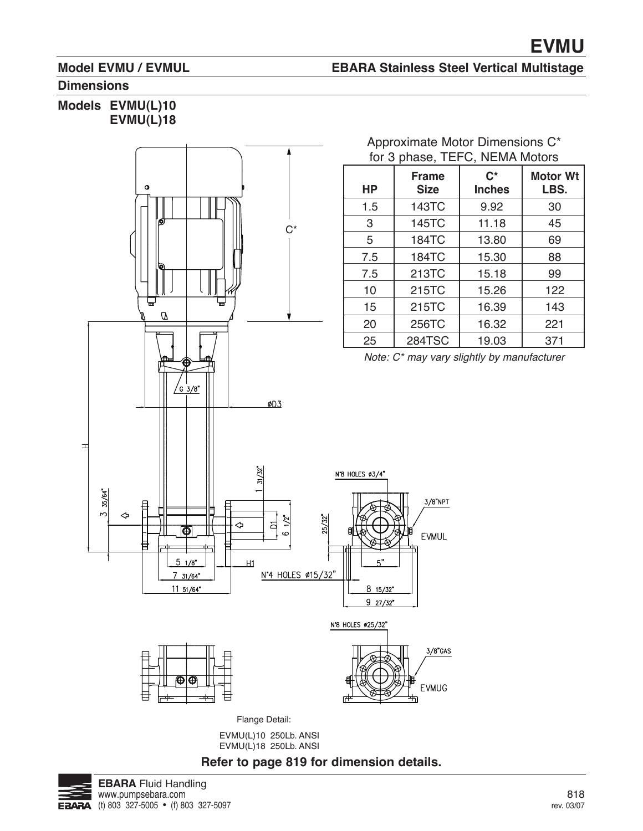### **Model EVMU / EVMUL**

## **EBARA Stainless Steel Vertical Multistage**

**C\* Inches** 9.92 11.18 13.80 15.30 15.18 15.26 16.39 16.32 19.03

### **Dimensions**

### **Models EVMU(L)10 EVMU(L)18**



EVMU(L)10 250Lb. ANSI EVMU(L)18 250Lb. ANSI

# \* **Refer to page 819 for dimension details.**

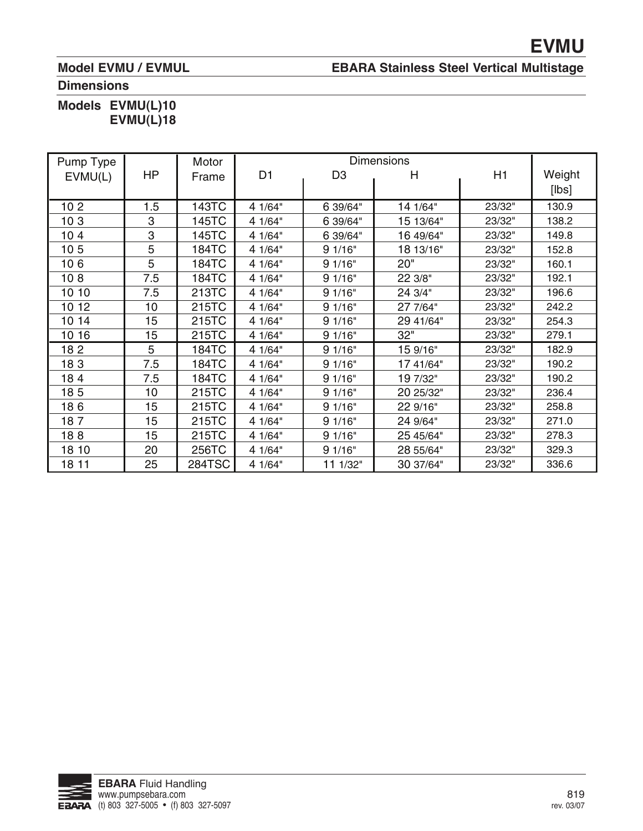## **Model EVMU / EVMUL**

## **EBARA Stainless Steel Vertical Multistage**

## **Dimensions**

## **Models EVMU(L)10 EVMU(L)18**

| Pump Type       | <b>Dimensions</b><br>Motor |               |                |                |           |        |        |
|-----------------|----------------------------|---------------|----------------|----------------|-----------|--------|--------|
| EVMU(L)         | HP                         | Frame         | D <sub>1</sub> | D <sub>3</sub> | н         | H1     | Weight |
|                 |                            |               |                |                |           |        | [lbs]  |
| 10 <sub>2</sub> | 1.5                        | 143TC         | 4 1/64"        | 6 39/64"       | 14 1/64"  | 23/32" | 130.9  |
| 103             | 3                          | 145TC         | 4 1/64"        | 6 39/64"       | 15 13/64" | 23/32" | 138.2  |
| 10 <sub>4</sub> | 3                          | 145TC         | 4 1/64"        | 6 39/64"       | 16 49/64" | 23/32" | 149.8  |
| 10 <sub>5</sub> | 5                          | <b>184TC</b>  | 4 1/64"        | 91/16"         | 18 13/16" | 23/32" | 152.8  |
| 106             | 5                          | <b>184TC</b>  | 4 1/64"        | 91/16"         | 20"       | 23/32" | 160.1  |
| 108             | 7.5                        | 184TC         | 4 1/64"        | 91/16"         | 22 3/8"   | 23/32" | 192.1  |
| 10 10           | 7.5                        | 213TC         | 4 1/64"        | 91/16"         | 24 3/4"   | 23/32" | 196.6  |
| 10 12           | 10                         | 215TC         | 4 1/64"        | 91/16"         | 27 7/64"  | 23/32" | 242.2  |
| 10 14           | 15                         | 215TC         | 4 1/64"        | 91/16"         | 29 41/64" | 23/32" | 254.3  |
| 10 16           | 15                         | 215TC         | 4 1/64"        | 91/16"         | 32"       | 23/32" | 279.1  |
| 182             | 5                          | <b>184TC</b>  | 4 1/64"        | 91/16"         | 15 9/16"  | 23/32" | 182.9  |
| 183             | 7.5                        | 184TC         | 4 1/64"        | 91/16"         | 17 41/64" | 23/32" | 190.2  |
| 184             | 7.5                        | 184TC         | 4 1/64"        | 91/16"         | 19 7/32"  | 23/32" | 190.2  |
| 185             | 10                         | 215TC         | 4 1/64"        | 91/16"         | 20 25/32" | 23/32" | 236.4  |
| 186             | 15                         | 215TC         | 4 1/64"        | 91/16"         | 22 9/16"  | 23/32" | 258.8  |
| 187             | 15                         | 215TC         | 4 1/64"        | 91/16"         | 24 9/64"  | 23/32" | 271.0  |
| 188             | 15                         | 215TC         | 4 1/64"        | 91/16"         | 25 45/64" | 23/32" | 278.3  |
| 18 10           | 20                         | 256TC         | 4 1/64"        | 91/16"         | 28 55/64" | 23/32" | 329.3  |
| 18 11           | 25                         | <b>284TSC</b> | 4 1/64"        | 11 1/32"       | 30 37/64" | 23/32" | 336.6  |

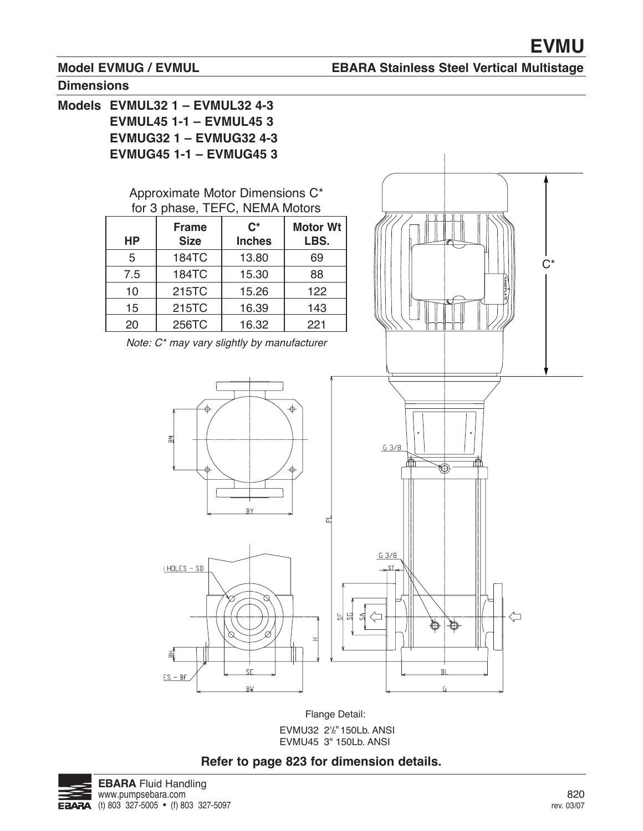$C^*$ 

### **Model EVMUG / EVMUL**

## **EBARA Stainless Steel Vertical Multistage**

#### **Dimensions**

**Models EVMUL32 1 – EVMUL32 4-3 EVMUL45 1-1 – EVMUL45 3 EVMUG32 1 – EVMUG32 4-3 EVMUG45 1-1 – EVMUG45 3**

### Approximate Motor Dimensions C\* for 3 phase, TEFC, NEMA Motors

| <b>HP</b> | <b>Frame</b><br><b>Size</b> | $\mathbf{C}^*$<br><b>Inches</b> | <b>Motor Wt</b><br>LBS. |
|-----------|-----------------------------|---------------------------------|-------------------------|
| 5         | <b>184TC</b>                | 13.80                           | 69                      |
| 7.5       | <b>184TC</b>                | 15.30                           | 88                      |
| 10        | 215TC                       | 15.26                           | 122                     |
| 15        | 215TC                       | 16.39                           | 143                     |
| 20        | 256TC                       | 16.32                           | 221                     |

Note: C\* may vary slightly by manufacturer



Flange Detail: EVMU32 21/<sub>2</sub>" 150Lb. ANSI EVMU45 3" 150Lb. ANSI

## **Refer to page 823 for dimension details.**

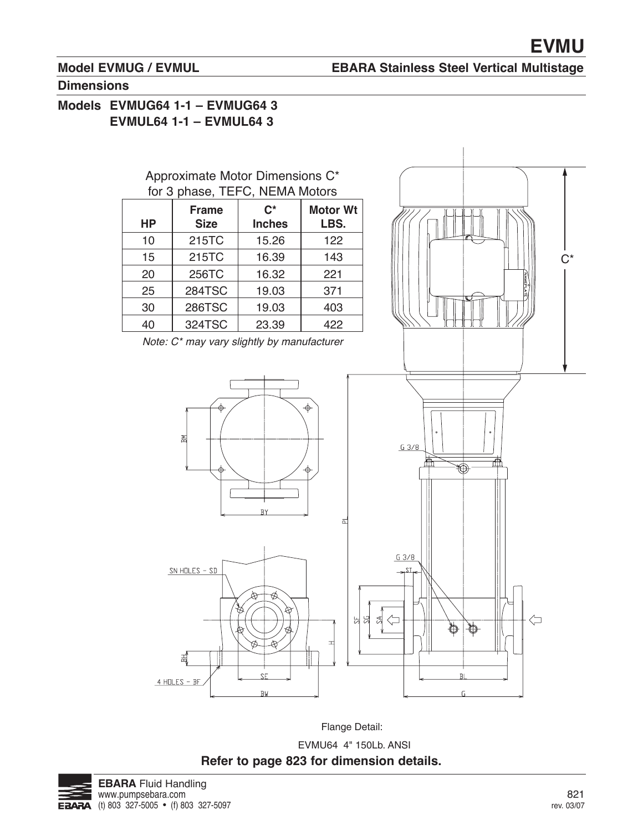## **Model EVMUG / EVMUL**

### **EBARA Stainless Steel Vertical Multistage**

#### **Dimensions**

## **Models EVMUG64 1-1 – EVMUG64 3 EVMUL64 1-1 – EVMUL64 3**



Flange Detail:

EVMU64 4" 150Lb. ANSI **Refer to page 823 for dimension details.**

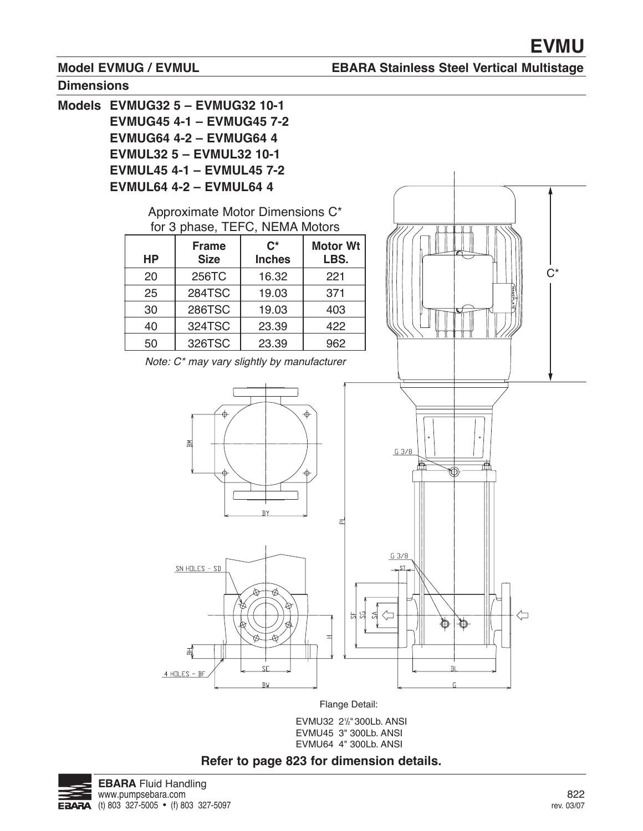$C^*$ 

### **Model EVMUG / EVMUL**

#### **EBARA Stainless Steel Vertical Multistage**



**Models EVMUG32 5 – EVMUG32 10-1 EVMUG45 4-1 – EVMUG45 7-2 EVMUG64 4-2 – EVMUG64 4 EVMUL32 5 – EVMUL32 10-1 EVMUL45 4-1 – EVMUL45 7-2 EVMUL64 4-2 – EVMUL64 4** Approximate Motor Dimensions C\* for 3 phase, TEFC, NEMA Motors **C\* Motor Wt Frame HP Size Inches LBS.** 20 256TC 16.32 221 25 284TSC 19.03 371 30 286TSC 19.03 403 40 324TSC 23.39 422 326TSC 23.39 50 962 Note: C\* may vary slightly by manufacturerΣ  $G3/8$ 祌 KD)  $\overline{R}$  $\overline{\cap}$  $G_3/8$  $SN$  HOLES - SD



Flange Detail:

EVMU32 21/2" 300Lb. ANSI EVMU45 3" 300Lb. ANSI EVMU64 4" 300Lb. ANSI





굶

 $4$  HOLES - BF

 $\left(\mathbb{\mathring{}}\right)$